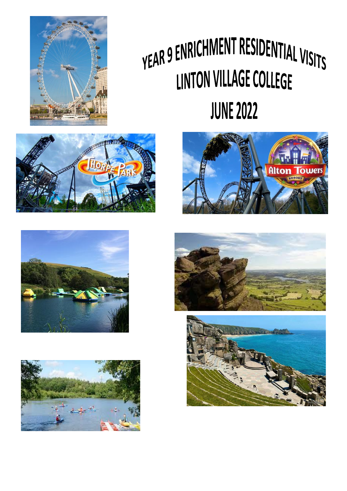# YEAR 9 ENRICHMENT RESIDENTIAL VISITS LINTON VILLAGE COLLEGE **JUNE 2022**













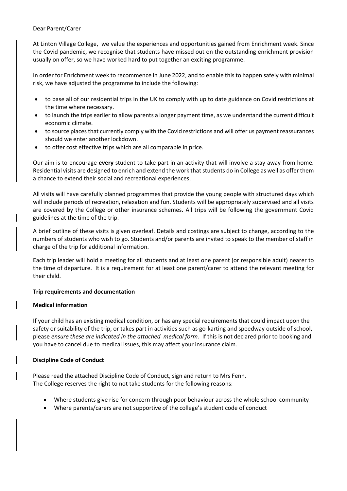# Dear Parent/Carer

At Linton Village College, we value the experiences and opportunities gained from Enrichment week. Since the Covid pandemic, we recognise that students have missed out on the outstanding enrichment provision usually on offer, so we have worked hard to put together an exciting programme.

In order for Enrichment week to recommence in June 2022, and to enable this to happen safely with minimal risk, we have adjusted the programme to include the following:

- to base all of our residential trips in the UK to comply with up to date guidance on Covid restrictions at the time where necessary.
- to launch the trips earlier to allow parents a longer payment time, as we understand the current difficult economic climate.
- to source places that currently comply with the Covid restrictions and will offer us payment reassurances should we enter another lockdown.
- to offer cost effective trips which are all comparable in price.

Our aim is to encourage **every** student to take part in an activity that will involve a stay away from home. Residential visits are designed to enrich and extend the work that students do in College as well as offer them a chance to extend their social and recreational experiences,

All visits will have carefully planned programmes that provide the young people with structured days which will include periods of recreation, relaxation and fun. Students will be appropriately supervised and all visits are covered by the College or other insurance schemes. All trips will be following the government Covid guidelines at the time of the trip.

A brief outline of these visits is given overleaf. Details and costings are subject to change, according to the numbers of students who wish to go. Students and/or parents are invited to speak to the member of staff in charge of the trip for additional information.

Each trip leader will hold a meeting for all students and at least one parent (or responsible adult) nearer to the time of departure. It is a requirement for at least one parent/carer to attend the relevant meeting for their child.

# **Trip requirements and documentation**

# **Medical information**

If your child has an existing medical condition, or has any special requirements that could impact upon the safety or suitability of the trip, or takes part in activities such as go-karting and speedway outside of school, please *ensure these are indicated in the attached medical form.* If this is not declared prior to booking and you have to cancel due to medical issues, this may affect your insurance claim.

# **Discipline Code of Conduct**

Please read the attached Discipline Code of Conduct, sign and return to Mrs Fenn. The College reserves the right to not take students for the following reasons:

- Where students give rise for concern through poor behaviour across the whole school community
- Where parents/carers are not supportive of the college's student code of conduct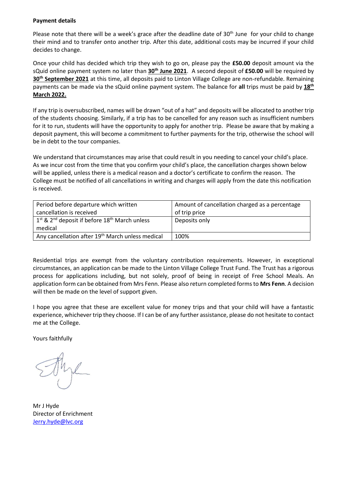#### **Payment details**

Please note that there will be a week's grace after the deadline date of 30<sup>th</sup> June for your child to change their mind and to transfer onto another trip. After this date, additional costs may be incurred if your child decides to change.

Once your child has decided which trip they wish to go on, please pay the **£50.00** deposit amount via the sQuid online payment system no later than **30th June 2021**. A second deposit of **£50.00** will be required by **30th September 2021** at this time, all deposits paid to Linton Village College are non-refundable. Remaining payments can be made via the sQuid online payment system. The balance for **all** trips must be paid by **18th March 2022.**

If any trip is oversubscribed, names will be drawn "out of a hat" and deposits will be allocated to another trip of the students choosing. Similarly, if a trip has to be cancelled for any reason such as insufficient numbers for it to run, students will have the opportunity to apply for another trip. Please be aware that by making a deposit payment, this will become a commitment to further payments for the trip, otherwise the school will be in debt to the tour companies.

We understand that circumstances may arise that could result in you needing to cancel your child's place. As we incur cost from the time that you confirm your child's place, the cancellation charges shown below will be applied, unless there is a medical reason and a doctor's certificate to confirm the reason. The College must be notified of all cancellations in writing and charges will apply from the date this notification is received.

| Period before departure which written                         | Amount of cancellation charged as a percentage |
|---------------------------------------------------------------|------------------------------------------------|
| cancellation is received                                      | of trip price                                  |
| $1st$ & 2 <sup>nd</sup> deposit if before $18th$ March unless | Deposits only                                  |
| medical                                                       |                                                |
| Any cancellation after 19 <sup>th</sup> March unless medical  | 100%                                           |

Residential trips are exempt from the voluntary contribution requirements. However, in exceptional circumstances, an application can be made to the Linton Village College Trust Fund. The Trust has a rigorous process for applications including, but not solely, proof of being in receipt of Free School Meals. An application form can be obtained from Mrs Fenn. Please also return completed forms to **Mrs Fenn**. A decision will then be made on the level of support given.

I hope you agree that these are excellent value for money trips and that your child will have a fantastic experience, whichever trip they choose. If I can be of any further assistance, please do not hesitate to contact me at the College.

Yours faithfully

Mr J Hyde Director of Enrichment [Jerry.hyde@lvc.org](mailto:Jerry.hyde@lvc.org)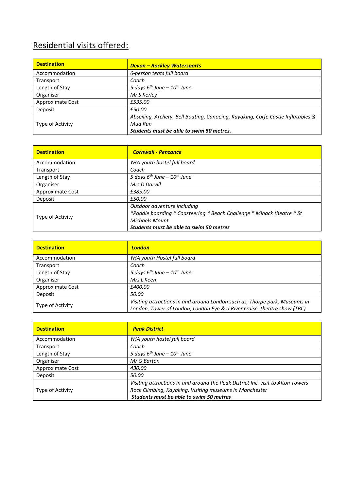# Residential visits offered:

| <b>Destination</b> | <b>Devon - Rockley Watersports</b>                                               |
|--------------------|----------------------------------------------------------------------------------|
| Accommodation      | 6-person tents full board                                                        |
| Transport          | Coach                                                                            |
| Length of Stay     | 5 days $6^{th}$ June – $10^{th}$ June                                            |
| Organiser          | Mr S Kerley                                                                      |
| Approximate Cost   | £535.00                                                                          |
| Deposit            | £50.00                                                                           |
| Type of Activity   | Abseiling, Archery, Bell Boating, Canoeing, Kayaking, Corfe Castle Inflatables & |
|                    | Mud Run                                                                          |
|                    | Students must be able to swim 50 metres.                                         |

| <b>Destination</b> | <b>Cornwall - Penzance</b>                                             |
|--------------------|------------------------------------------------------------------------|
| Accommodation      | YHA youth hostel full board                                            |
| Transport          | Coach                                                                  |
| Length of Stay     | 5 days $6^{th}$ June - $10^{th}$ June                                  |
| Organiser          | Mrs D Darvill                                                          |
| Approximate Cost   | £385.00                                                                |
| Deposit            | £50.00                                                                 |
| Type of Activity   | Outdoor adventure including                                            |
|                    | *Paddle boarding * Coasteering * Beach Challenge * Minack theatre * St |
|                    | <b>Michaels Mount</b>                                                  |
|                    | Students must be able to swim 50 metres                                |

| <b>Destination</b> | <u>London</u>                                                              |  |
|--------------------|----------------------------------------------------------------------------|--|
| Accommodation      | YHA youth Hostel full board                                                |  |
| Transport          | Coach                                                                      |  |
| Length of Stay     | 5 days $6^{th}$ June - $10^{th}$ June                                      |  |
| Organiser          | Mrs L Keen                                                                 |  |
| Approximate Cost   | £400.00                                                                    |  |
| Deposit            | 50.00                                                                      |  |
| Type of Activity   | Visiting attractions in and around London such as, Thorpe park, Museums in |  |
|                    | London, Tower of London, London Eye & a River cruise, theatre show (TBC)   |  |

| <b>Destination</b> | <b>Peak District</b>                                                            |  |
|--------------------|---------------------------------------------------------------------------------|--|
| Accommodation      | YHA youth hostel full board                                                     |  |
| Transport          | Coach                                                                           |  |
| Length of Stay     | 5 days $6^{th}$ June - $10^{th}$ June                                           |  |
| Organiser          | Mr G Barton                                                                     |  |
| Approximate Cost   | 430.00                                                                          |  |
| Deposit            | 50.00                                                                           |  |
| Type of Activity   | Visiting attractions in and around the Peak District Inc. visit to Alton Towers |  |
|                    | Rock Climbing, Kayaking. Visiting museums in Manchester                         |  |
|                    | Students must be able to swim 50 metres                                         |  |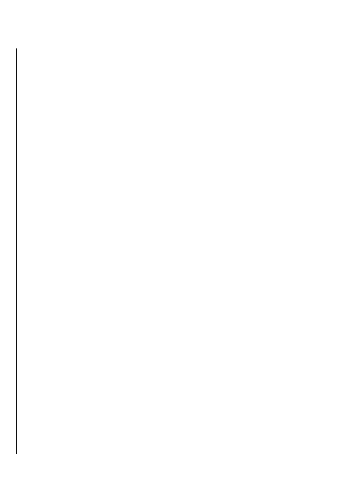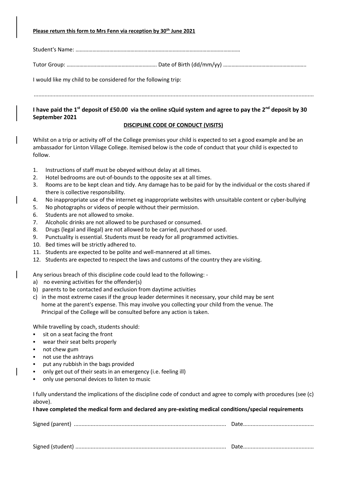#### **Please return this form to Mrs Fenn via reception by 30th June 2021**

Student's Name: ………………………………………………………………………………………………………

Tutor Group: ………………………………………………………. Date of Birth (dd/mm/yy) …………………………………………………..

I would like my child to be considered for the following trip:

**I have paid the 1 st deposit of £50.00 via the online sQuid system and agree to pay the 2nd deposit by 30 September 2021**

......................................................................................................................................................................................

# **DISCIPLINE CODE OF CONDUCT (VISITS)**

Whilst on a trip or activity off of the College premises your child is expected to set a good example and be an ambassador for Linton Village College. Itemised below is the code of conduct that your child is expected to follow.

- 1. Instructions of staff must be obeyed without delay at all times.
- 2. Hotel bedrooms are out-of-bounds to the opposite sex at all times.
- 3. Rooms are to be kept clean and tidy. Any damage has to be paid for by the individual or the costs shared if there is collective responsibility.
- 4. No inappropriate use of the internet eg inappropriate websites with unsuitable content or cyber-bullying
- 5. No photographs or videos of people without their permission.
- 6. Students are not allowed to smoke.
- 7. Alcoholic drinks are not allowed to be purchased or consumed.
- 8. Drugs (legal and illegal) are not allowed to be carried, purchased or used.
- 9. Punctuality is essential. Students must be ready for all programmed activities.
- 10. Bed times will be strictly adhered to.
- 11. Students are expected to be polite and well-mannered at all times.
- 12. Students are expected to respect the laws and customs of the country they are visiting.

Any serious breach of this discipline code could lead to the following: -

- a) no evening activities for the offender(s)
- b) parents to be contacted and exclusion from daytime activities
- c) in the most extreme cases if the group leader determines it necessary, your child may be sent home at the parent's expense. This may involve you collecting your child from the venue. The Principal of the College will be consulted before any action is taken.

While travelling by coach, students should:

- sit on a seat facing the front
- wear their seat belts properly
- not chew gum
- not use the ashtrays
- put any rubbish in the bags provided
- only get out of their seats in an emergency (i.e. feeling ill)
- only use personal devices to listen to music

I fully understand the implications of the discipline code of conduct and agree to comply with procedures (see (c) above).

**I have completed the medical form and declared any pre-existing medical conditions/special requirements**